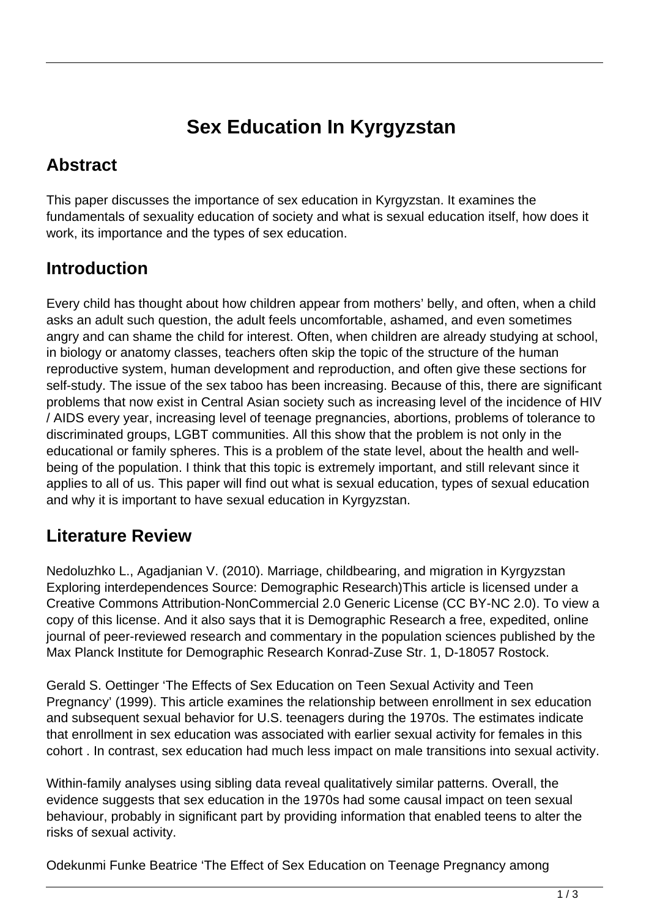# **Sex Education In Kyrgyzstan**

#### **Abstract**

This paper discusses the importance of sex education in Kyrgyzstan. It examines the fundamentals of sexuality education of society and what is sexual education itself, how does it work, its importance and the types of sex education.

### **Introduction**

Every child has thought about how children appear from mothers' belly, and often, when a child asks an adult such question, the adult feels uncomfortable, ashamed, and even sometimes angry and can shame the child for interest. Often, when children are already studying at school, in biology or anatomy classes, teachers often skip the topic of the structure of the human reproductive system, human development and reproduction, and often give these sections for self-study. The issue of the sex taboo has been increasing. Because of this, there are significant problems that now exist in Central Asian society such as increasing level of the incidence of HIV / AIDS every year, increasing level of teenage pregnancies, abortions, problems of tolerance to discriminated groups, LGBT communities. All this show that the problem is not only in the educational or family spheres. This is a problem of the state level, about the health and wellbeing of the population. I think that this topic is extremely important, and still relevant since it applies to all of us. This paper will find out what is sexual education, types of sexual education and why it is important to have sexual education in Kyrgyzstan.

#### **Literature Review**

Nedoluzhko L., Agadjanian V. (2010). Marriage, childbearing, and migration in Kyrgyzstan Exploring interdependences Source: Demographic Research)This article is licensed under a Creative Commons Attribution-NonCommercial 2.0 Generic License (CC BY-NC 2.0). To view a copy of this license. And it also says that it is Demographic Research a free, expedited, online journal of peer-reviewed research and commentary in the population sciences published by the Max Planck Institute for Demographic Research Konrad-Zuse Str. 1, D-18057 Rostock.

Gerald S. Oettinger 'The Effects of Sex Education on Teen Sexual Activity and Teen Pregnancy' (1999). This article examines the relationship between enrollment in sex education and subsequent sexual behavior for U.S. teenagers during the 1970s. The estimates indicate that enrollment in sex education was associated with earlier sexual activity for females in this cohort . In contrast, sex education had much less impact on male transitions into sexual activity.

Within-family analyses using sibling data reveal qualitatively similar patterns. Overall, the evidence suggests that sex education in the 1970s had some causal impact on teen sexual behaviour, probably in significant part by providing information that enabled teens to alter the risks of sexual activity.

Odekunmi Funke Beatrice 'The Effect of Sex Education on Teenage Pregnancy among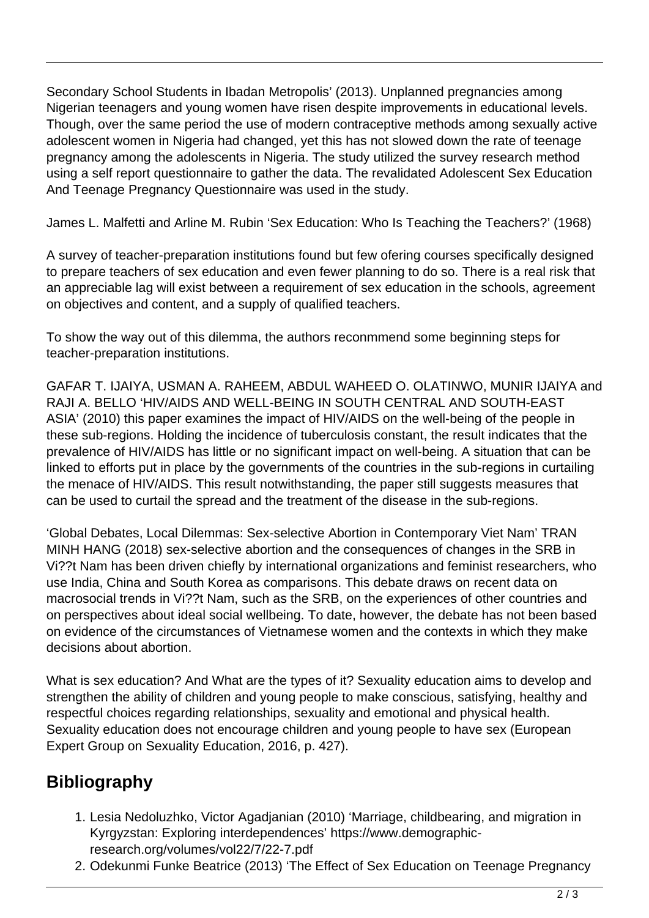Secondary School Students in Ibadan Metropolis' (2013). Unplanned pregnancies among Nigerian teenagers and young women have risen despite improvements in educational levels. Though, over the same period the use of modern contraceptive methods among sexually active adolescent women in Nigeria had changed, yet this has not slowed down the rate of teenage pregnancy among the adolescents in Nigeria. The study utilized the survey research method using a self report questionnaire to gather the data. The revalidated Adolescent Sex Education And Teenage Pregnancy Questionnaire was used in the study.

James L. Malfetti and Arline M. Rubin 'Sex Education: Who Is Teaching the Teachers?' (1968)

A survey of teacher-preparation institutions found but few ofering courses specifically designed to prepare teachers of sex education and even fewer planning to do so. There is a real risk that an appreciable lag will exist between a requirement of sex education in the schools, agreement on objectives and content, and a supply of qualified teachers.

To show the way out of this dilemma, the authors reconmmend some beginning steps for teacher-preparation institutions.

GAFAR T. IJAIYA, USMAN A. RAHEEM, ABDUL WAHEED O. OLATINWO, MUNIR IJAIYA and RAJI A. BELLO 'HIV/AIDS AND WELL-BEING IN SOUTH CENTRAL AND SOUTH-EAST ASIA' (2010) this paper examines the impact of HIV/AIDS on the well-being of the people in these sub-regions. Holding the incidence of tuberculosis constant, the result indicates that the prevalence of HIV/AIDS has little or no significant impact on well-being. A situation that can be linked to efforts put in place by the governments of the countries in the sub-regions in curtailing the menace of HIV/AIDS. This result notwithstanding, the paper still suggests measures that can be used to curtail the spread and the treatment of the disease in the sub-regions.

'Global Debates, Local Dilemmas: Sex-selective Abortion in Contemporary Viet Nam' TRAN MINH HANG (2018) sex-selective abortion and the consequences of changes in the SRB in Vi??t Nam has been driven chiefly by international organizations and feminist researchers, who use India, China and South Korea as comparisons. This debate draws on recent data on macrosocial trends in Vi??t Nam, such as the SRB, on the experiences of other countries and on perspectives about ideal social wellbeing. To date, however, the debate has not been based on evidence of the circumstances of Vietnamese women and the contexts in which they make decisions about abortion.

What is sex education? And What are the types of it? Sexuality education aims to develop and strengthen the ability of children and young people to make conscious, satisfying, healthy and respectful choices regarding relationships, sexuality and emotional and physical health. Sexuality education does not encourage children and young people to have sex (European Expert Group on Sexuality Education, 2016, p. 427).

## **Bibliography**

- 1. Lesia Nedoluzhko, Victor Agadjanian (2010) 'Marriage, childbearing, and migration in Kyrgyzstan: Exploring interdependences' https://www.demographicresearch.org/volumes/vol22/7/22-7.pdf
- 2. Odekunmi Funke Beatrice (2013) 'The Effect of Sex Education on Teenage Pregnancy